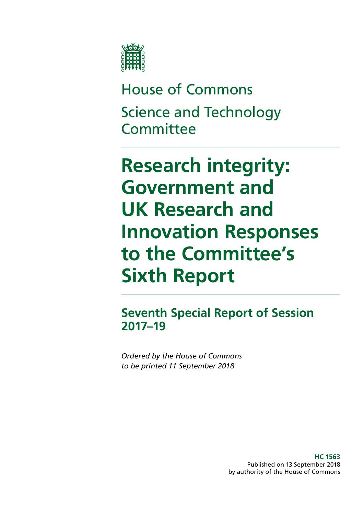

House of Commons Science and Technology **Committee** 

**Research integrity: Government and UK Research and Innovation Responses to the Committee's Sixth Report**

**Seventh Special Report of Session 2017–19**

*Ordered by the House of Commons to be printed 11 September 2018*

> **HC 1563** Published on 13 September 2018 by authority of the House of Commons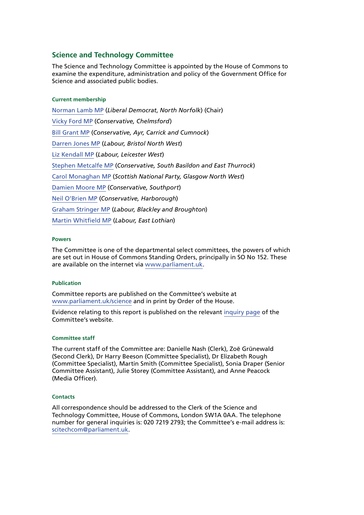#### **Science and Technology Committee**

The Science and Technology Committee is appointed by the House of Commons to examine the expenditure, administration and policy of the Government Office for Science and associated public bodies.

#### **Current membership**

[Norman Lamb MP](https://www.parliament.uk/biographies/commons/norman-lamb/1439) (*Liberal Democrat*, *North Norfolk*) (Chair) [Vicky Ford MP](https://www.parliament.uk/biographies/commons/vicky-ford/4674) (*Conservative, Chelmsford*) [Bill Grant MP](https://www.parliament.uk/biographies/commons/bill-grant/4605) (*Conservative, Ayr, Carrick and Cumnock*) [Darren Jones MP](https://www.parliament.uk/biographies/commons/darren-jones/4621) (*Labour, Bristol North West*) [Liz Kendall MP](https://www.parliament.uk/biographies/commons/liz-kendall/4026) (*Labour, Leicester West*) [Stephen Metcalfe MP](https://www.parliament.uk/biographies/commons/stephen-metcalfe/4092) (*Conservative, South Basildon and East Thurrock*) [Carol Monaghan MP](https://www.parliament.uk/biographies/commons/carol-monaghan/4443) (*Scottish National Party, Glasgow North West*) [Damien Moore MP](https://www.parliament.uk/biographies/commons/damien-moore/4669) (*Conservative, Southport*) [Neil O'Brien MP](https://www.parliament.uk/biographies/commons/neil-o) (*Conservative, Harborough*) [Graham Stringer MP](https://www.parliament.uk/biographies/commons/graham-stringer/449) (*Labour, Blackley and Broughton*) [Martin Whitfield MP](https://www.parliament.uk/biographies/commons/martin-whitfield/4626) (*Labour, East Lothian*)

#### **Powers**

The Committee is one of the departmental select committees, the powers of which are set out in House of Commons Standing Orders, principally in SO No 152. These are available on the internet via [www.parliament.uk.](https://www.parliament.uk/)

#### **Publication**

Committee reports are published on the Committee's website at [www.parliament.uk/science](https://www.parliament.uk/business/committees/committees-a-z/commons-select/science-and-technology-committee/) and in print by Order of the House.

Evidence relating to this report is published on the relevant [inquiry page](https://www.parliament.uk/business/committees/committees-a-z/commons-select/science-and-technology-committee/inquiries/parliament-2017/research-integrity-17-19/publications/) of the Committee's website.

#### **Committee staff**

The current staff of the Committee are: Danielle Nash (Clerk), Zoë Grünewald (Second Clerk), Dr Harry Beeson (Committee Specialist), Dr Elizabeth Rough (Committee Specialist), Martin Smith (Committee Specialist), Sonia Draper (Senior Committee Assistant), Julie Storey (Committee Assistant), and Anne Peacock (Media Officer).

#### **Contacts**

All correspondence should be addressed to the Clerk of the Science and Technology Committee, House of Commons, London SW1A 0AA. The telephone number for general inquiries is: 020 7219 2793; the Committee's e-mail address is: scitechcom@parliament.uk.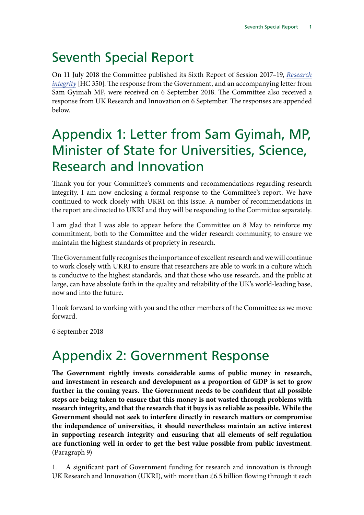# Seventh Special Report

On 11 July 2018 the Committee published its Sixth Report of Session 2017–19, *[Research](https://publications.parliament.uk/pa/cm201719/cmselect/cmsctech/350/350.pdf) [integrity](https://publications.parliament.uk/pa/cm201719/cmselect/cmsctech/350/350.pdf)* [HC 350]. The response from the Government, and an accompanying letter from Sam Gyimah MP, were received on 6 September 2018. The Committee also received a response from UK Research and Innovation on 6 September. The responses are appended below.

## Appendix 1: Letter from Sam Gyimah, MP, Minister of State for Universities, Science, Research and Innovation

Thank you for your Committee's comments and recommendations regarding research integrity. I am now enclosing a formal response to the Committee's report. We have continued to work closely with UKRI on this issue. A number of recommendations in the report are directed to UKRI and they will be responding to the Committee separately.

I am glad that I was able to appear before the Committee on 8 May to reinforce my commitment, both to the Committee and the wider research community, to ensure we maintain the highest standards of propriety in research.

The Government fully recognises the importance of excellent research and we will continue to work closely with UKRI to ensure that researchers are able to work in a culture which is conducive to the highest standards, and that those who use research, and the public at large, can have absolute faith in the quality and reliability of the UK's world-leading base, now and into the future.

I look forward to working with you and the other members of the Committee as we move forward.

6 September 2018

# Appendix 2: Government Response

**The Government rightly invests considerable sums of public money in research, and investment in research and development as a proportion of GDP is set to grow further in the coming years. The Government needs to be confident that all possible steps are being taken to ensure that this money is not wasted through problems with research integrity, and that the research that it buys is as reliable as possible. While the Government should not seek to interfere directly in research matters or compromise the independence of universities, it should nevertheless maintain an active interest in supporting research integrity and ensuring that all elements of self-regulation are functioning well in order to get the best value possible from public investment**. (Paragraph 9)

1. A significant part of Government funding for research and innovation is through UK Research and Innovation (UKRI), with more than £6.5 billion flowing through it each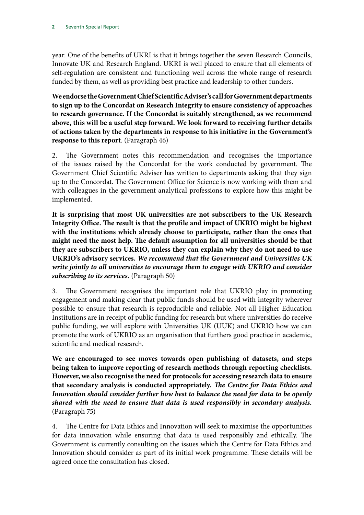year. One of the benefits of UKRI is that it brings together the seven Research Councils, Innovate UK and Research England. UKRI is well placed to ensure that all elements of self-regulation are consistent and functioning well across the whole range of research funded by them, as well as providing best practice and leadership to other funders.

**We endorse the Government Chief Scientific Adviser's call for Government departments to sign up to the Concordat on Research Integrity to ensure consistency of approaches to research governance. If the Concordat is suitably strengthened, as we recommend above, this will be a useful step forward. We look forward to receiving further details of actions taken by the departments in response to his initiative in the Government's response to this report**. (Paragraph 46)

2. The Government notes this recommendation and recognises the importance of the issues raised by the Concordat for the work conducted by government. The Government Chief Scientific Adviser has written to departments asking that they sign up to the Concordat. The Government Office for Science is now working with them and with colleagues in the government analytical professions to explore how this might be implemented.

**It is surprising that most UK universities are not subscribers to the UK Research Integrity Office. The result is that the profile and impact of UKRIO might be highest with the institutions which already choose to participate, rather than the ones that might need the most help. The default assumption for all universities should be that they are subscribers to UKRIO, unless they can explain why they do not need to use UKRIO's advisory services.** *We recommend that the Government and Universities UK write jointly to all universities to encourage them to engage with UKRIO and consider subscribing to its services.* (Paragraph 50)

3. The Government recognises the important role that UKRIO play in promoting engagement and making clear that public funds should be used with integrity wherever possible to ensure that research is reproducible and reliable. Not all Higher Education Institutions are in receipt of public funding for research but where universities do receive public funding, we will explore with Universities UK (UUK) and UKRIO how we can promote the work of UKRIO as an organisation that furthers good practice in academic, scientific and medical research.

**We are encouraged to see moves towards open publishing of datasets, and steps being taken to improve reporting of research methods through reporting checklists. However, we also recognise the need for protocols for accessing research data to ensure that secondary analysis is conducted appropriately.** *The Centre for Data Ethics and Innovation should consider further how best to balance the need for data to be openly shared with the need to ensure that data is used responsibly in secondary analysis.*  (Paragraph 75)

4. The Centre for Data Ethics and Innovation will seek to maximise the opportunities for data innovation while ensuring that data is used responsibly and ethically. The Government is currently consulting on the issues which the Centre for Data Ethics and Innovation should consider as part of its initial work programme. These details will be agreed once the consultation has closed.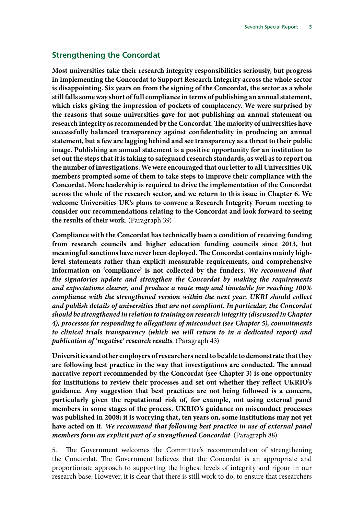## **Strengthening the Concordat**

**Most universities take their research integrity responsibilities seriously, but progress in implementing the Concordat to Support Research Integrity across the whole sector is disappointing. Six years on from the signing of the Concordat, the sector as a whole still falls some way short of full compliance in terms of publishing an annual statement, which risks giving the impression of pockets of complacency. We were surprised by the reasons that some universities gave for not publishing an annual statement on research integrity as recommended by the Concordat. The majority of universities have successfully balanced transparency against confidentiality in producing an annual statement, but a few are lagging behind and see transparency as a threat to their public image. Publishing an annual statement is a positive opportunity for an institution to set out the steps that it is taking to safeguard research standards, as well as to report on the number of investigations. We were encouraged that our letter to all Universities UK members prompted some of them to take steps to improve their compliance with the Concordat. More leadership is required to drive the implementation of the Concordat across the whole of the research sector, and we return to this issue in Chapter 6. We welcome Universities UK's plans to convene a Research Integrity Forum meeting to consider our recommendations relating to the Concordat and look forward to seeing the results of their work**. (Paragraph 39)

**Compliance with the Concordat has technically been a condition of receiving funding from research councils and higher education funding councils since 2013, but meaningful sanctions have never been deployed. The Concordat contains mainly highlevel statements rather than explicit measurable requirements, and comprehensive information on 'compliance' is not collected by the funders.** *We recommend that the signatories update and strengthen the Concordat by making the requirements and expectations clearer, and produce a route map and timetable for reaching 100% compliance with the strengthened version within the next year. UKRI should collect and publish details of universities that are not compliant. In particular, the Concordat should be strengthened in relation to training on research integrity (discussed in Chapter 4), processes for responding to allegations of misconduct (see Chapter 5), commitments to clinical trials transparency (which we will return to in a dedicated report) and publication of 'negative' research results*. (Paragraph 43)

**Universities and other employers of researchers need to be able to demonstrate that they are following best practice in the way that investigations are conducted. The annual narrative report recommended by the Concordat (see Chapter 3) is one opportunity for institutions to review their processes and set out whether they reflect UKRIO's guidance. Any suggestion that best practices are not being followed is a concern, particularly given the reputational risk of, for example, not using external panel members in some stages of the process. UKRIO's guidance on misconduct processes was published in 2008; it is worrying that, ten years on, some institutions may not yet have acted on it.** *We recommend that following best practice in use of external panel members form an explicit part of a strengthened Concordat*. (Paragraph 88)

5. The Government welcomes the Committee's recommendation of strengthening the Concordat. The Government believes that the Concordat is an appropriate and proportionate approach to supporting the highest levels of integrity and rigour in our research base. However, it is clear that there is still work to do, to ensure that researchers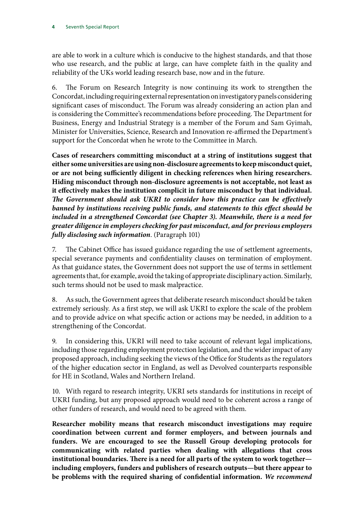are able to work in a culture which is conducive to the highest standards, and that those who use research, and the public at large, can have complete faith in the quality and reliability of the UKs world leading research base, now and in the future.

6. The Forum on Research Integrity is now continuing its work to strengthen the Concordat, including requiring external representation on investigatory panels considering significant cases of misconduct. The Forum was already considering an action plan and is considering the Committee's recommendations before proceeding. The Department for Business, Energy and Industrial Strategy is a member of the Forum and Sam Gyimah, Minister for Universities, Science, Research and Innovation re-affirmed the Department's support for the Concordat when he wrote to the Committee in March.

**Cases of researchers committing misconduct at a string of institutions suggest that either some universities are using non-disclosure agreements to keep misconduct quiet, or are not being sufficiently diligent in checking references when hiring researchers. Hiding misconduct through non-disclosure agreements is not acceptable, not least as it effectively makes the institution complicit in future misconduct by that individual.**  *The Government should ask UKRI to consider how this practice can be effectively banned by institutions receiving public funds, and statements to this effect should be included in a strengthened Concordat (see Chapter 3). Meanwhile, there is a need for greater diligence in employers checking for past misconduct, and for previous employers fully disclosing such information*. (Paragraph 101)

7. The Cabinet Office has issued guidance regarding the use of settlement agreements, special severance payments and confidentiality clauses on termination of employment. As that guidance states, the Government does not support the use of terms in settlement agreements that, for example, avoid the taking of appropriate disciplinary action. Similarly, such terms should not be used to mask malpractice.

8. As such, the Government agrees that deliberate research misconduct should be taken extremely seriously. As a first step, we will ask UKRI to explore the scale of the problem and to provide advice on what specific action or actions may be needed, in addition to a strengthening of the Concordat.

9. In considering this, UKRI will need to take account of relevant legal implications, including those regarding employment protection legislation, and the wider impact of any proposed approach, including seeking the views of the Office for Students as the regulators of the higher education sector in England, as well as Devolved counterparts responsible for HE in Scotland, Wales and Northern Ireland.

10. With regard to research integrity, UKRI sets standards for institutions in receipt of UKRI funding, but any proposed approach would need to be coherent across a range of other funders of research, and would need to be agreed with them.

**Researcher mobility means that research misconduct investigations may require coordination between current and former employers, and between journals and funders. We are encouraged to see the Russell Group developing protocols for communicating with related parties when dealing with allegations that cross institutional boundaries. There is a need for all parts of the system to work together including employers, funders and publishers of research outputs—but there appear to be problems with the required sharing of confidential information.** *We recommend*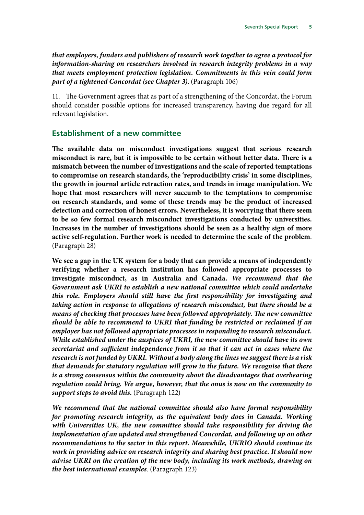*that employers, funders and publishers of research work together to agree a protocol for information-sharing on researchers involved in research integrity problems in a way that meets employment protection legislation. Commitments in this vein could form part of a tightened Concordat (see Chapter 3)***.** (Paragraph 106)

11. The Government agrees that as part of a strengthening of the Concordat, the Forum should consider possible options for increased transparency, having due regard for all relevant legislation.

#### **Establishment of a new committee**

**The available data on misconduct investigations suggest that serious research misconduct is rare, but it is impossible to be certain without better data. There is a mismatch between the number of investigations and the scale of reported temptations to compromise on research standards, the 'reproducibility crisis' in some disciplines, the growth in journal article retraction rates, and trends in image manipulation. We hope that most researchers will never succumb to the temptations to compromise on research standards, and some of these trends may be the product of increased detection and correction of honest errors. Nevertheless, it is worrying that there seem to be so few formal research misconduct investigations conducted by universities. Increases in the number of investigations should be seen as a healthy sign of more active self-regulation. Further work is needed to determine the scale of the problem**. (Paragraph 28)

**We see a gap in the UK system for a body that can provide a means of independently verifying whether a research institution has followed appropriate processes to investigate misconduct, as in Australia and Canada.** *We recommend that the Government ask UKRI to establish a new national committee which could undertake this role. Employers should still have the first responsibility for investigating and taking action in response to allegations of research misconduct, but there should be a means of checking that processes have been followed appropriately. The new committee should be able to recommend to UKRI that funding be restricted or reclaimed if an employer has not followed appropriate processes in responding to research misconduct. While established under the auspices of UKRI, the new committee should have its own secretariat and sufficient independence from it so that it can act in cases where the research is not funded by UKRI. Without a body along the lines we suggest there is a risk that demands for statutory regulation will grow in the future. We recognise that there is a strong consensus within the community about the disadvantages that overbearing regulation could bring. We argue, however, that the onus is now on the community to support steps to avoid this***.** (Paragraph 122)

*We recommend that the national committee should also have formal responsibility for promoting research integrity, as the equivalent body does in Canada. Working with Universities UK, the new committee should take responsibility for driving the implementation of an updated and strengthened Concordat, and following up on other recommendations to the sector in this report. Meanwhile, UKRIO should continue its work in providing advice on research integrity and sharing best practice. It should now advise UKRI on the creation of the new body, including its work methods, drawing on the best international examples*. (Paragraph 123)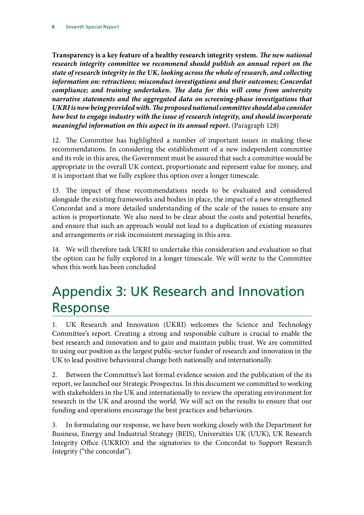**Transparency is a key feature of a healthy research integrity system.** *The new national research integrity committee we recommend should publish an annual report on the state of research integrity in the UK, looking across the whole of research, and collecting information on: retractions; misconduct investigations and their outcomes; Concordat compliance; and training undertaken. The data for this will come from university narrative statements and the aggregated data on screening-phase investigations that UKRI is now being provided with. The proposed national committee should also consider how best to engage industry with the issue of research integrity, and should incorporate meaningful information on this aspect in its annual report***.** (Paragraph 128)

12. The Committee has highlighted a number of important issues in making these recommendations. In considering the establishment of a new independent committee and its role in this area, the Government must be assured that such a committee would be appropriate in the overall UK context, proportionate and represent value for money, and it is important that we fully explore this option over a longer timescale.

13. The impact of these recommendations needs to be evaluated and considered alongside the existing frameworks and bodies in place, the impact of a new strengthened Concordat and a more detailed understanding of the scale of the issues to ensure any action is proportionate. We also need to be clear about the costs and potential benefits, and ensure that such an approach would not lead to a duplication of existing measures and arrangements or risk inconsistent messaging in this area.

14. We will therefore task UKRI to undertake this consideration and evaluation so that the option can be fully explored in a longer timescale. We will write to the Committee when this work has been concluded

## Appendix 3: UK Research and Innovation Response

1. UK Research and Innovation (UKRI) welcomes the Science and Technology Committee's report. Creating a strong and responsible culture is crucial to enable the best research and innovation and to gain and maintain public trust. We are committed to using our position as the largest public-sector funder of research and innovation in the UK to lead positive behavioural change both nationally and internationally.

2. Between the Committee's last formal evidence session and the publication of the its report, we launched our Strategic Prospectus. In this document we committed to working with stakeholders in the UK and internationally to review the operating environment for research in the UK and around the world. We will act on the results to ensure that our funding and operations encourage the best practices and behaviours.

3. In formulating our response, we have been working closely with the Department for Business, Energy and Industrial Strategy (BEIS), Universities UK (UUK), UK Research Integrity Office (UKRIO) and the signatories to the Concordat to Support Research Integrity ("the concordat").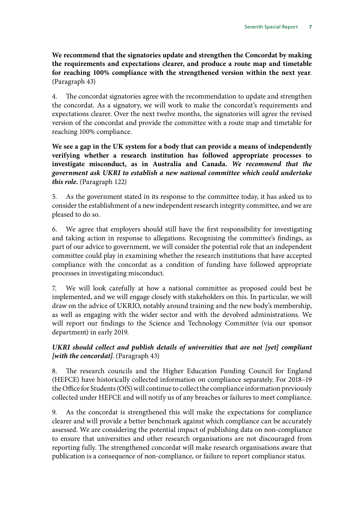**We recommend that the signatories update and strengthen the Concordat by making the requirements and expectations clearer, and produce a route map and timetable for reaching 100% compliance with the strengthened version within the next year**. (Paragraph 43)

4. The concordat signatories agree with the recommendation to update and strengthen the concordat. As a signatory, we will work to make the concordat's requirements and expectations clearer. Over the next twelve months, the signatories will agree the revised version of the concordat and provide the committee with a route map and timetable for reaching 100% compliance.

**We see a gap in the UK system for a body that can provide a means of independently verifying whether a research institution has followed appropriate processes to investigate misconduct, as in Australia and Canada.** *We recommend that the government ask UKRI to establish a new national committee which could undertake this role***.** (Paragraph 122)

5. As the government stated in its response to the committee today, it has asked us to consider the establishment of a new independent research integrity committee, and we are pleased to do so.

6. We agree that employers should still have the first responsibility for investigating and taking action in response to allegations. Recognising the committee's findings, as part of our advice to government, we will consider the potential role that an independent committee could play in examining whether the research institutions that have accepted compliance with the concordat as a condition of funding have followed appropriate processes in investigating misconduct.

7. We will look carefully at how a national committee as proposed could best be implemented, and we will engage closely with stakeholders on this. In particular, we will draw on the advice of UKRIO, notably around training and the new body's membership, as well as engaging with the wider sector and with the devolved administrations. We will report our findings to the Science and Technology Committee (via our sponsor department) in early 2019.

#### *UKRI should collect and publish details of universities that are not [yet] compliant [with the concordat]*. (Paragraph 43)

8. The research councils and the Higher Education Funding Council for England (HEFCE) have historically collected information on compliance separately. For 2018–19 the Office for Students (OfS) will continue to collect the compliance information previously collected under HEFCE and will notify us of any breaches or failures to meet compliance.

9. As the concordat is strengthened this will make the expectations for compliance clearer and will provide a better benchmark against which compliance can be accurately assessed. We are considering the potential impact of publishing data on non-compliance to ensure that universities and other research organisations are not discouraged from reporting fully. The strengthened concordat will make research organisations aware that publication is a consequence of non-compliance, or failure to report compliance status.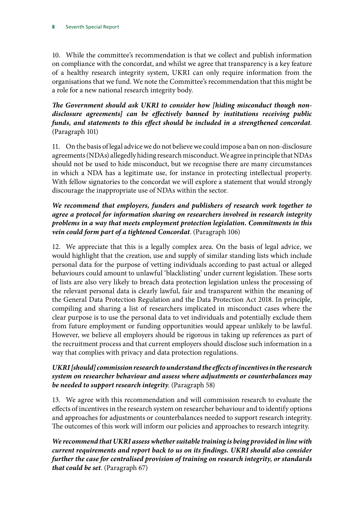10. While the committee's recommendation is that we collect and publish information on compliance with the concordat, and whilst we agree that transparency is a key feature of a healthy research integrity system, UKRI can only require information from the organisations that we fund. We note the Committee's recommendation that this might be a role for a new national research integrity body.

### *The Government should ask UKRI to consider how [hiding misconduct though nondisclosure agreements] can be effectively banned by institutions receiving public funds, and statements to this effect should be included in a strengthened concordat*. (Paragraph 101)

11. On the basis of legal advice we do not believe we could impose a ban on non-disclosure agreements (NDAs) allegedly hiding research misconduct. We agree in principle that NDAs should not be used to hide misconduct, but we recognise there are many circumstances in which a NDA has a legitimate use, for instance in protecting intellectual property. With fellow signatories to the concordat we will explore a statement that would strongly discourage the inappropriate use of NDAs within the sector.

## *We recommend that employers, funders and publishers of research work together to agree a protocol for information sharing on researchers involved in research integrity problems in a way that meets employment protection legislation. Commitments in this vein could form part of a tightened Concordat*. (Paragraph 106)

12. We appreciate that this is a legally complex area. On the basis of legal advice, we would highlight that the creation, use and supply of similar standing lists which include personal data for the purpose of vetting individuals according to past actual or alleged behaviours could amount to unlawful 'blacklisting' under current legislation. These sorts of lists are also very likely to breach data protection legislation unless the processing of the relevant personal data is clearly lawful, fair and transparent within the meaning of the General Data Protection Regulation and the Data Protection Act 2018. In principle, compiling and sharing a list of researchers implicated in misconduct cases where the clear purpose is to use the personal data to vet individuals and potentially exclude them from future employment or funding opportunities would appear unlikely to be lawful. However, we believe all employers should be rigorous in taking up references as part of the recruitment process and that current employers should disclose such information in a way that complies with privacy and data protection regulations.

## *UKRI [should] commission research to understand the effects of incentives in the research system on researcher behaviour and assess where adjustments or counterbalances may be needed to support research integrity*. (Paragraph 58)

13. We agree with this recommendation and will commission research to evaluate the effects of incentives in the research system on researcher behaviour and to identify options and approaches for adjustments or counterbalances needed to support research integrity. The outcomes of this work will inform our policies and approaches to research integrity.

*We recommend that UKRI assess whether suitable training is being provided in line with current requirements and report back to us on its findings. UKRI should also consider further the case for centralised provision of training on research integrity, or standards that could be set*. (Paragraph 67)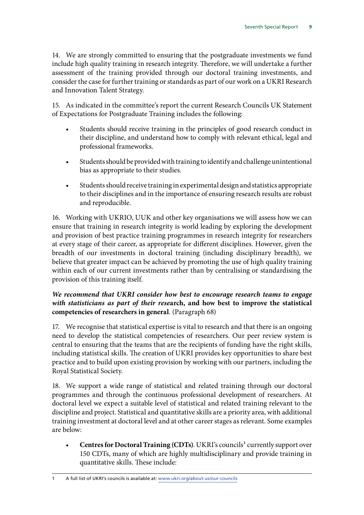14. We are strongly committed to ensuring that the postgraduate investments we fund include high quality training in research integrity. Therefore, we will undertake a further assessment of the training provided through our doctoral training investments, and consider the case for further training or standards as part of our work on a UKRI Research and Innovation Talent Strategy.

15. As indicated in the committee's report the current Research Councils UK Statement of Expectations for Postgraduate Training includes the following:

- Students should receive training in the principles of good research conduct in their discipline, and understand how to comply with relevant ethical, legal and professional frameworks.
- Students should be provided with training to identify and challenge unintentional bias as appropriate to their studies.
- Students should receive training in experimental design and statistics appropriate to their disciplines and in the importance of ensuring research results are robust and reproducible.

16. Working with UKRIO, UUK and other key organisations we will assess how we can ensure that training in research integrity is world leading by exploring the development and provision of best practice training programmes in research integrity for researchers at every stage of their career, as appropriate for different disciplines. However, given the breadth of our investments in doctoral training (including disciplinary breadth), we believe that greater impact can be achieved by promoting the use of high quality training within each of our current investments rather than by centralising or standardising the provision of this training itself.

## *We recommend that UKRI consider how best to encourage research teams to engage with statisticians as part of their rese***arch, and how best to improve the statistical competencies of researchers in general**. (Paragraph 68)

17. We recognise that statistical expertise is vital to research and that there is an ongoing need to develop the statistical competencies of researchers. Our peer review system is central to ensuring that the teams that are the recipients of funding have the right skills, including statistical skills. The creation of UKRI provides key opportunities to share best practice and to build upon existing provision by working with our partners, including the Royal Statistical Society.

18. We support a wide range of statistical and related training through our doctoral programmes and through the continuous professional development of researchers. At doctoral level we expect a suitable level of statistical and related training relevant to the discipline and project. Statistical and quantitative skills are a priority area, with additional training investment at doctoral level and at other career stages as relevant. Some examples are below:

**Centres for Doctoral Training (CDTs)**. UKRI's councils<sup>1</sup> currently support over 150 CDTs, many of which are highly multidisciplinary and provide training in quantitative skills. These include:

1 A full list of UKRI's councils is available at: [www.ukri.org/about-us/our-councils](http://www.ukri.org/about-us/our-councils)